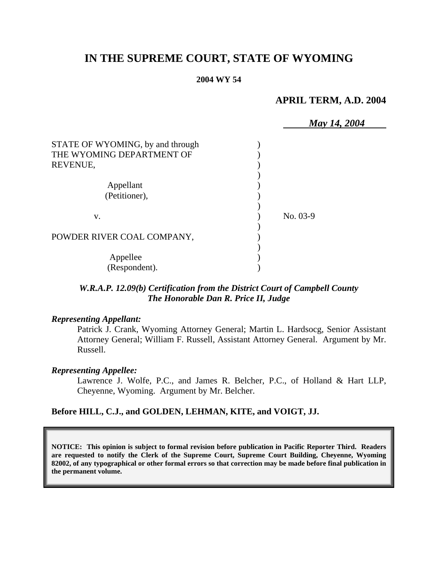# **IN THE SUPREME COURT, STATE OF WYOMING**

#### **2004 WY 54**

## **APRIL TERM, A.D. 2004**

|                                  | May 14, 2004 |
|----------------------------------|--------------|
| STATE OF WYOMING, by and through |              |
| THE WYOMING DEPARTMENT OF        |              |
| REVENUE,                         |              |
|                                  |              |
| Appellant                        |              |
| (Petitioner),                    |              |
|                                  |              |
| V.                               | No. 03-9     |
|                                  |              |
| POWDER RIVER COAL COMPANY,       |              |
|                                  |              |
| Appellee                         |              |
| (Respondent).                    |              |

## *W.R.A.P. 12.09(b) Certification from the District Court of Campbell County The Honorable Dan R. Price II, Judge*

#### *Representing Appellant:*

Patrick J. Crank, Wyoming Attorney General; Martin L. Hardsocg, Senior Assistant Attorney General; William F. Russell, Assistant Attorney General. Argument by Mr. Russell.

#### *Representing Appellee:*

Lawrence J. Wolfe, P.C., and James R. Belcher, P.C., of Holland & Hart LLP, Cheyenne, Wyoming. Argument by Mr. Belcher.

#### **Before HILL, C.J., and GOLDEN, LEHMAN, KITE, and VOIGT, JJ.**

**NOTICE: This opinion is subject to formal revision before publication in Pacific Reporter Third. Readers are requested to notify the Clerk of the Supreme Court, Supreme Court Building, Cheyenne, Wyoming 82002, of any typographical or other formal errors so that correction may be made before final publication in the permanent volume.**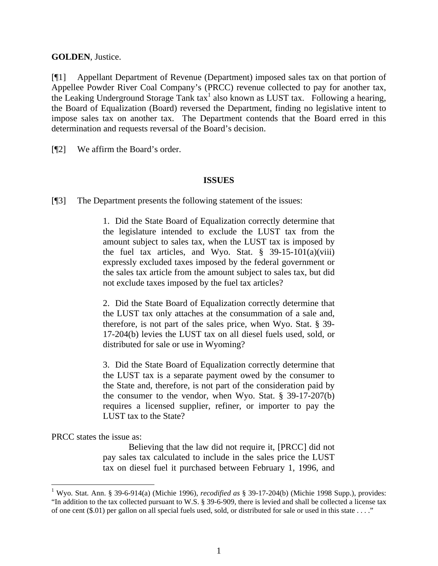### **GOLDEN**, Justice.

[¶1] Appellant Department of Revenue (Department) imposed sales tax on that portion of Appellee Powder River Coal Company's (PRCC) revenue collected to pay for another tax, the Leaking Underground Storage Tank  $tax<sup>1</sup>$  also known as LUST  $tax$ . Following a hearing, the Board of Equalization (Board) reversed the Department, finding no legislative intent to impose sales tax on another tax. The Department contends that the Board erred in this determination and requests reversal of the Board's decision.

[¶2] We affirm the Board's order.

## **ISSUES**

[¶3] The Department presents the following statement of the issues:

1. Did the State Board of Equalization correctly determine that the legislature intended to exclude the LUST tax from the amount subject to sales tax, when the LUST tax is imposed by the fuel tax articles, and Wyo. Stat.  $\S$  39-15-101(a)(viii) expressly excluded taxes imposed by the federal government or the sales tax article from the amount subject to sales tax, but did not exclude taxes imposed by the fuel tax articles?

2. Did the State Board of Equalization correctly determine that the LUST tax only attaches at the consummation of a sale and, therefore, is not part of the sales price, when Wyo. Stat. § 39- 17-204(b) levies the LUST tax on all diesel fuels used, sold, or distributed for sale or use in Wyoming?

3. Did the State Board of Equalization correctly determine that the LUST tax is a separate payment owed by the consumer to the State and, therefore, is not part of the consideration paid by the consumer to the vendor, when Wyo. Stat. § 39-17-207(b) requires a licensed supplier, refiner, or importer to pay the LUST tax to the State?

PRCC states the issue as:

 $\overline{a}$ 

Believing that the law did not require it, [PRCC] did not pay sales tax calculated to include in the sales price the LUST tax on diesel fuel it purchased between February 1, 1996, and

<sup>1</sup> Wyo. Stat. Ann. § 39-6-914(a) (Michie 1996), *recodified as* § 39-17-204(b) (Michie 1998 Supp.), provides: "In addition to the tax collected pursuant to W.S. § 39-6-909, there is levied and shall be collected a license tax of one cent  $(\$.01)$  per gallon on all special fuels used, sold, or distributed for sale or used in this state . . . ."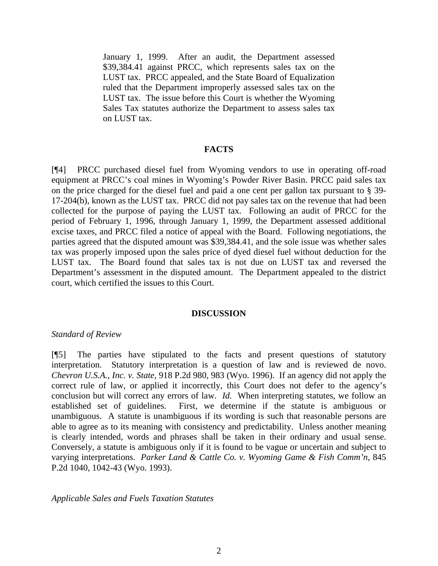January 1, 1999. After an audit, the Department assessed \$39,384.41 against PRCC, which represents sales tax on the LUST tax. PRCC appealed, and the State Board of Equalization ruled that the Department improperly assessed sales tax on the LUST tax. The issue before this Court is whether the Wyoming Sales Tax statutes authorize the Department to assess sales tax on LUST tax.

#### **FACTS**

[¶4] PRCC purchased diesel fuel from Wyoming vendors to use in operating off-road equipment at PRCC's coal mines in Wyoming's Powder River Basin. PRCC paid sales tax on the price charged for the diesel fuel and paid a one cent per gallon tax pursuant to § 39- 17-204(b), known as the LUST tax. PRCC did not pay sales tax on the revenue that had been collected for the purpose of paying the LUST tax. Following an audit of PRCC for the period of February 1, 1996, through January 1, 1999, the Department assessed additional excise taxes, and PRCC filed a notice of appeal with the Board. Following negotiations, the parties agreed that the disputed amount was \$39,384.41, and the sole issue was whether sales tax was properly imposed upon the sales price of dyed diesel fuel without deduction for the LUST tax. The Board found that sales tax is not due on LUST tax and reversed the Department's assessment in the disputed amount. The Department appealed to the district court, which certified the issues to this Court.

#### **DISCUSSION**

#### *Standard of Review*

[¶5] The parties have stipulated to the facts and present questions of statutory interpretation. Statutory interpretation is a question of law and is reviewed de novo. *Chevron U.S.A., Inc. v. State,* 918 P.2d 980, 983 (Wyo. 1996). If an agency did not apply the correct rule of law, or applied it incorrectly, this Court does not defer to the agency's conclusion but will correct any errors of law. *Id.* When interpreting statutes, we follow an established set of guidelines. First, we determine if the statute is ambiguous or unambiguous. A statute is unambiguous if its wording is such that reasonable persons are able to agree as to its meaning with consistency and predictability. Unless another meaning is clearly intended, words and phrases shall be taken in their ordinary and usual sense. Conversely, a statute is ambiguous only if it is found to be vague or uncertain and subject to varying interpretations. *Parker Land & Cattle Co. v. Wyoming Game & Fish Comm'n*, 845 P.2d 1040, 1042-43 (Wyo. 1993).

*Applicable Sales and Fuels Taxation Statutes*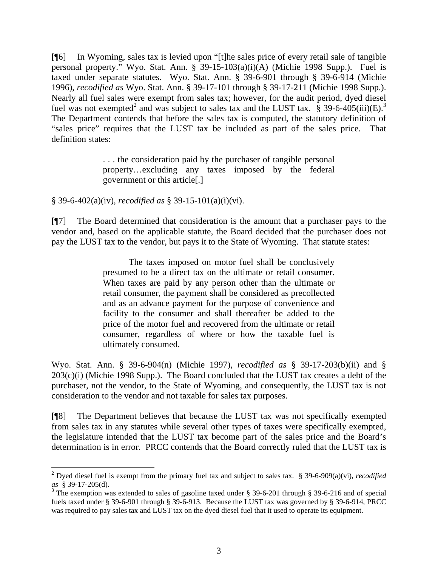[¶6] In Wyoming, sales tax is levied upon "[t]he sales price of every retail sale of tangible personal property." Wyo. Stat. Ann. § 39-15-103(a)(i)(A) (Michie 1998 Supp.). Fuel is taxed under separate statutes. Wyo. Stat. Ann. § 39-6-901 through § 39-6-914 (Michie 1996), *recodified as* Wyo. Stat. Ann. § 39-17-101 through § 39-17-211 (Michie 1998 Supp.). Nearly all fuel sales were exempt from sales tax; however, for the audit period, dyed diesel fuel was not exempted<sup>2</sup> and was subject to sales tax and the LUST tax.  $\S$  39-6-405(iii)(E).<sup>3</sup> The Department contends that before the sales tax is computed, the statutory definition of "sales price" requires that the LUST tax be included as part of the sales price. That definition states:

> . . . the consideration paid by the purchaser of tangible personal property…excluding any taxes imposed by the federal government or this article[.]

§ 39-6-402(a)(iv), *recodified as* § 39-15-101(a)(i)(vi).

 $\overline{a}$ 

[¶7] The Board determined that consideration is the amount that a purchaser pays to the vendor and, based on the applicable statute, the Board decided that the purchaser does not pay the LUST tax to the vendor, but pays it to the State of Wyoming. That statute states:

> The taxes imposed on motor fuel shall be conclusively presumed to be a direct tax on the ultimate or retail consumer. When taxes are paid by any person other than the ultimate or retail consumer, the payment shall be considered as precollected and as an advance payment for the purpose of convenience and facility to the consumer and shall thereafter be added to the price of the motor fuel and recovered from the ultimate or retail consumer, regardless of where or how the taxable fuel is ultimately consumed.

Wyo. Stat. Ann. § 39-6-904(n) (Michie 1997), *recodified as* § 39-17-203(b)(ii) and §  $203(c)(i)$  (Michie 1998 Supp.). The Board concluded that the LUST tax creates a debt of the purchaser, not the vendor, to the State of Wyoming, and consequently, the LUST tax is not consideration to the vendor and not taxable for sales tax purposes.

[¶8] The Department believes that because the LUST tax was not specifically exempted from sales tax in any statutes while several other types of taxes were specifically exempted, the legislature intended that the LUST tax become part of the sales price and the Board's determination is in error. PRCC contends that the Board correctly ruled that the LUST tax is

<sup>2</sup> Dyed diesel fuel is exempt from the primary fuel tax and subject to sales tax. § 39-6-909(a)(vi), *recodified as* § 39-17-205(d).

<sup>&</sup>lt;sup>3</sup> The exemption was extended to sales of gasoline taxed under § 39-6-201 through § 39-6-216 and of special fuels taxed under § 39-6-901 through § 39-6-913. Because the LUST tax was governed by § 39-6-914, PRCC was required to pay sales tax and LUST tax on the dyed diesel fuel that it used to operate its equipment.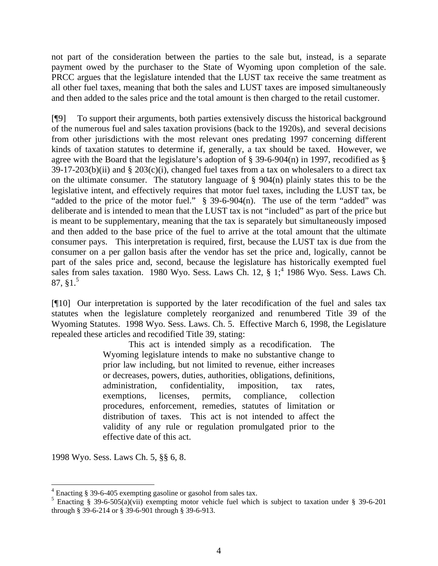not part of the consideration between the parties to the sale but, instead, is a separate payment owed by the purchaser to the State of Wyoming upon completion of the sale. PRCC argues that the legislature intended that the LUST tax receive the same treatment as all other fuel taxes, meaning that both the sales and LUST taxes are imposed simultaneously and then added to the sales price and the total amount is then charged to the retail customer.

[¶9] To support their arguments, both parties extensively discuss the historical background of the numerous fuel and sales taxation provisions (back to the 1920s), and several decisions from other jurisdictions with the most relevant ones predating 1997 concerning different kinds of taxation statutes to determine if, generally, a tax should be taxed. However, we agree with the Board that the legislature's adoption of § 39-6-904(n) in 1997, recodified as §  $39-17-203(b)(ii)$  and §  $203(c)(i)$ , changed fuel taxes from a tax on wholesalers to a direct tax on the ultimate consumer. The statutory language of  $\S$  904(n) plainly states this to be the legislative intent, and effectively requires that motor fuel taxes, including the LUST tax, be "added to the price of the motor fuel." § 39-6-904(n). The use of the term "added" was deliberate and is intended to mean that the LUST tax is not "included" as part of the price but is meant to be supplementary, meaning that the tax is separately but simultaneously imposed and then added to the base price of the fuel to arrive at the total amount that the ultimate consumer pays. This interpretation is required, first, because the LUST tax is due from the consumer on a per gallon basis after the vendor has set the price and, logically, cannot be part of the sales price and, second, because the legislature has historically exempted fuel sales from sales taxation. 1980 Wyo. Sess. Laws Ch. 12,  $\S 1;^{4}$  1986 Wyo. Sess. Laws Ch.  $87, §1.<sup>5</sup>$ 

[¶10] Our interpretation is supported by the later recodification of the fuel and sales tax statutes when the legislature completely reorganized and renumbered Title 39 of the Wyoming Statutes. 1998 Wyo. Sess. Laws. Ch. 5. Effective March 6, 1998, the Legislature repealed these articles and recodified Title 39, stating:

> This act is intended simply as a recodification. The Wyoming legislature intends to make no substantive change to prior law including, but not limited to revenue, either increases or decreases, powers, duties, authorities, obligations, definitions, administration, confidentiality, imposition, tax rates, exemptions, licenses, permits, compliance, collection procedures, enforcement, remedies, statutes of limitation or distribution of taxes. This act is not intended to affect the validity of any rule or regulation promulgated prior to the effective date of this act.

1998 Wyo. Sess. Laws Ch. 5, §§ 6, 8.

<sup>&</sup>lt;sup>4</sup> Enacting § 39-6-405 exempting gasoline or gasohol from sales tax.

<sup>&</sup>lt;sup>5</sup> Enacting § 39-6-505(a)(vii) exempting motor vehicle fuel which is subject to taxation under § 39-6-201 through § 39-6-214 or § 39-6-901 through § 39-6-913.